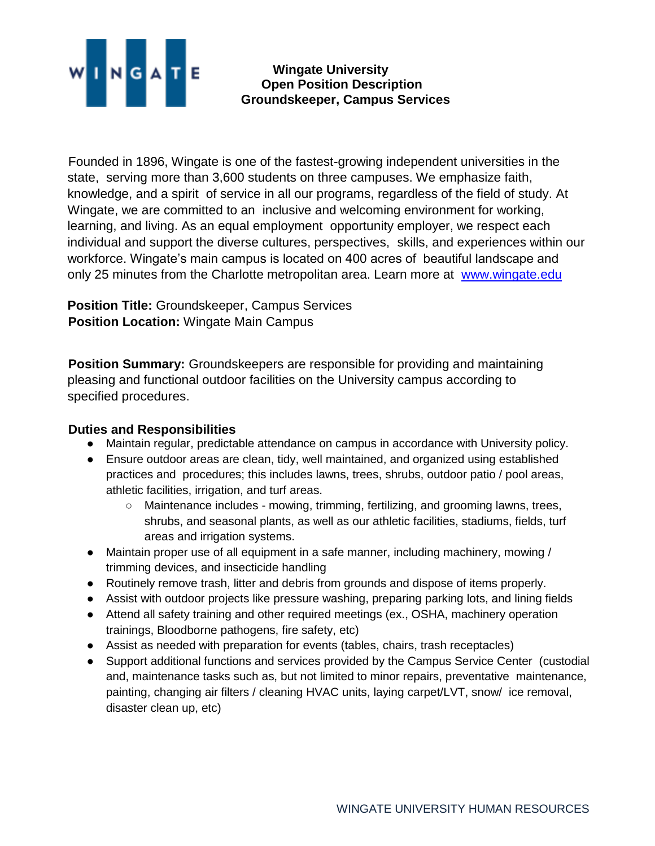

**Wingate University Open Position Description Groundskeeper, Campus Services**

Founded in 1896, Wingate is one of the fastest-growing independent universities in the state, serving more than 3,600 students on three campuses. We emphasize faith, knowledge, and a spirit of service in all our programs, regardless of the field of study. At Wingate, we are committed to an inclusive and welcoming environment for working, learning, and living. As an equal employment opportunity employer, we respect each individual and support the diverse cultures, perspectives, skills, and experiences within our workforce. Wingate's main campus is located on 400 acres of beautiful landscape and only 25 minutes from the Charlotte metropolitan area. Learn more at www.wingate.edu

**Position Title:** Groundskeeper, Campus Services **Position Location:** Wingate Main Campus

**Position Summary:** Groundskeepers are responsible for providing and maintaining pleasing and functional outdoor facilities on the University campus according to specified procedures.

## **Duties and Responsibilities**

- Maintain regular, predictable attendance on campus in accordance with University policy.
- Ensure outdoor areas are clean, tidy, well maintained, and organized using established practices and procedures; this includes lawns, trees, shrubs, outdoor patio / pool areas, athletic facilities, irrigation, and turf areas.
	- Maintenance includes mowing, trimming, fertilizing, and grooming lawns, trees, shrubs, and seasonal plants, as well as our athletic facilities, stadiums, fields, turf areas and irrigation systems.
- Maintain proper use of all equipment in a safe manner, including machinery, mowing / trimming devices, and insecticide handling
- Routinely remove trash, litter and debris from grounds and dispose of items properly.
- Assist with outdoor projects like pressure washing, preparing parking lots, and lining fields
- Attend all safety training and other required meetings (ex., OSHA, machinery operation trainings, Bloodborne pathogens, fire safety, etc)
- Assist as needed with preparation for events (tables, chairs, trash receptacles)
- Support additional functions and services provided by the Campus Service Center (custodial and, maintenance tasks such as, but not limited to minor repairs, preventative maintenance, painting, changing air filters / cleaning HVAC units, laying carpet/LVT, snow/ ice removal, disaster clean up, etc)